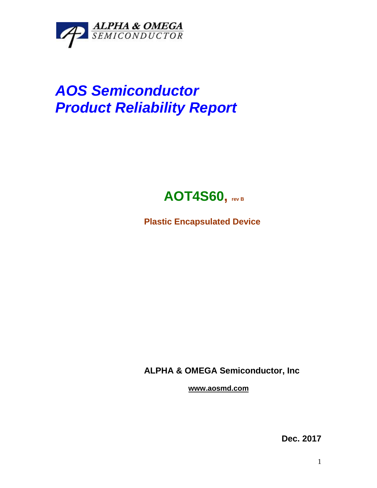

## *AOS Semiconductor Product Reliability Report*



**Plastic Encapsulated Device**

**ALPHA & OMEGA Semiconductor, Inc**

**www.aosmd.com**

**Dec. 2017**